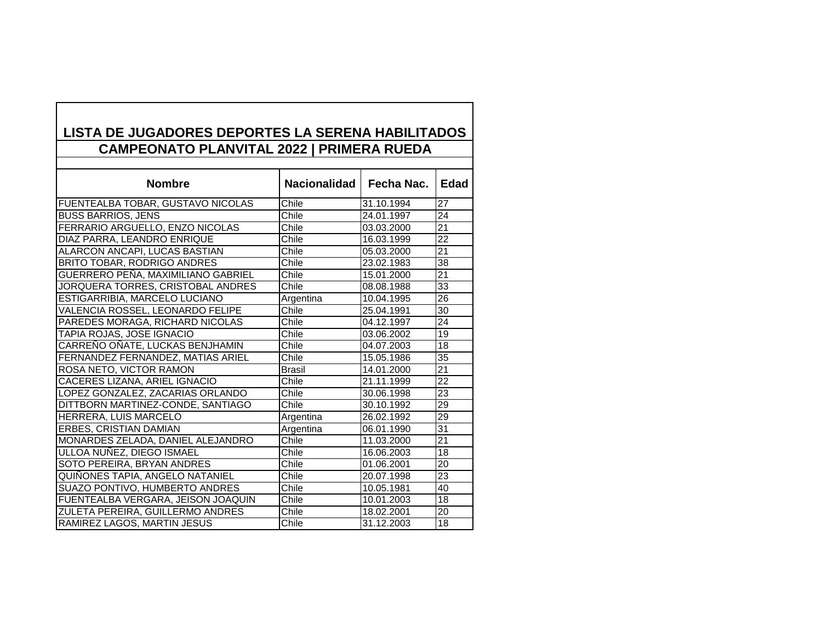## **LISTA DE JUGADORES DEPORTES LA SERENA HABILITADOS CAMPEONATO PLANVITAL 2022 | PRIMERA RUEDA**

| <b>Nombre</b>                      | Nacionalidad  | Fecha Nac. | Edad            |
|------------------------------------|---------------|------------|-----------------|
| FUENTEALBA TOBAR, GUSTAVO NICOLAS  | Chile         | 31.10.1994 | 27              |
| <b>BUSS BARRIOS, JENS</b>          | Chile         | 24.01.1997 | 24              |
| FERRARIO ARGUELLO, ENZO NICOLAS    | Chile         | 03.03.2000 | $\overline{21}$ |
| DIAZ PARRA, LEANDRO ENRIQUE        | Chile         | 16.03.1999 | 22              |
| ALARCON ANCAPI, LUCAS BASTIAN      | Chile         | 05.03.2000 | $\overline{21}$ |
| <b>BRITO TOBAR, RODRIGO ANDRES</b> | Chile         | 23.02.1983 | $\overline{38}$ |
| GUERRERO PEÑA, MAXIMILIANO GABRIEL | Chile         | 15.01.2000 | 21              |
| JORQUERA TORRES, CRISTOBAL ANDRES  | Chile         | 08.08.1988 | 33              |
| ESTIGARRIBIA, MARCELO LUCIANO      | Argentina     | 10.04.1995 | $\overline{26}$ |
| VALENCIA ROSSEL, LEONARDO FELIPE   | Chile         | 25.04.1991 | 30              |
| PAREDES MORAGA, RICHARD NICOLAS    | Chile         | 04.12.1997 | 24              |
| <b>TAPIA ROJAS, JOSE IGNACIO</b>   | Chile         | 03.06.2002 | 19              |
| CARREÑO OÑATE, LUCKAS BENJHAMIN    | Chile         | 04.07.2003 | 18              |
| FERNANDEZ FERNANDEZ, MATIAS ARIEL  | Chile         | 15.05.1986 | 35              |
| ROSA NETO, VICTOR RAMON            | <b>Brasil</b> | 14.01.2000 | $\overline{21}$ |
| CACERES LIZANA, ARIEL IGNACIO      | Chile         | 21.11.1999 | $\overline{22}$ |
| LOPEZ GONZALEZ, ZACARIAS ORLANDO   | Chile         | 30.06.1998 | 23              |
| DITTBORN MARTINEZ-CONDE, SANTIAGO  | Chile         | 30.10.1992 | 29              |
| HERRERA, LUIS MARCELO              | Argentina     | 26.02.1992 | $\overline{29}$ |
| <b>ERBES, CRISTIAN DAMIAN</b>      | Argentina     | 06.01.1990 | 31              |
| MONARDES ZELADA, DANIEL ALEJANDRO  | Chile         | 11.03.2000 | 21              |
| ULLOA NUÑEZ, DIEGO ISMAEL          | Chile         | 16.06.2003 | 18              |
| SOTO PEREIRA, BRYAN ANDRES         | Chile         | 01.06.2001 | 20              |
| QUIÑONES TAPIA, ANGELO NATANIEL    | Chile         | 20.07.1998 | 23              |
| SUAZO PONTIVO, HUMBERTO ANDRES     | Chile         | 10.05.1981 | 40              |
| FUENTEALBA VERGARA, JEISON JOAQUIN | Chile         | 10.01.2003 | 18              |
| ZULETA PEREIRA, GUILLERMO ANDRES   | Chile         | 18.02.2001 | 20              |
| RAMIREZ LAGOS, MARTIN JESUS        | Chile         | 31.12.2003 | 18              |